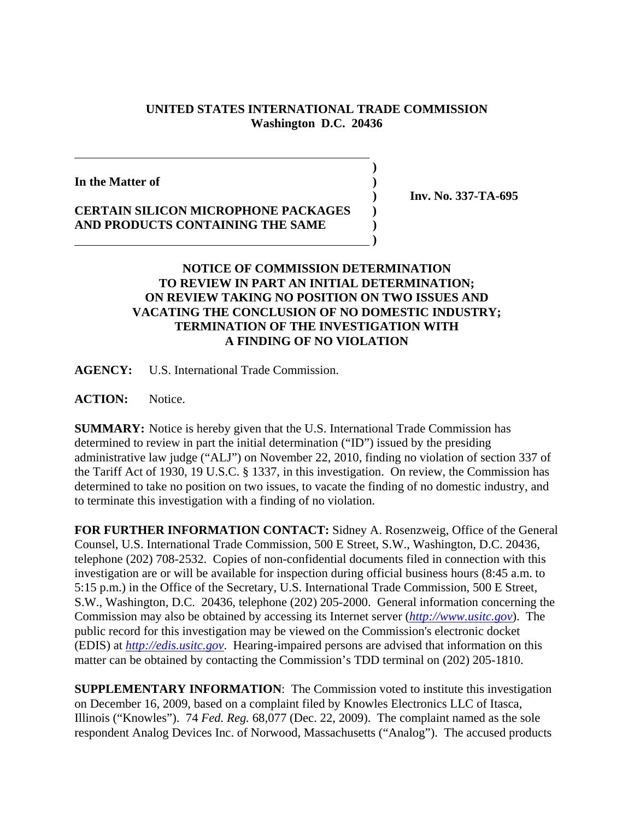## **UNITED STATES INTERNATIONAL TRADE COMMISSION Washington D.C. 20436**

**)**

**In the Matter of )**

**CERTAIN SILICON MICROPHONE PACKAGES ) AND PRODUCTS CONTAINING THE SAME ) )**

 **) Inv. No. 337-TA-695**

## **NOTICE OF COMMISSION DETERMINATION TO REVIEW IN PART AN INITIAL DETERMINATION; ON REVIEW TAKING NO POSITION ON TWO ISSUES AND VACATING THE CONCLUSION OF NO DOMESTIC INDUSTRY; TERMINATION OF THE INVESTIGATION WITH A FINDING OF NO VIOLATION**

**AGENCY:** U.S. International Trade Commission.

**ACTION:** Notice.

**SUMMARY:** Notice is hereby given that the U.S. International Trade Commission has determined to review in part the initial determination ("ID") issued by the presiding administrative law judge ("ALJ") on November 22, 2010, finding no violation of section 337 of the Tariff Act of 1930, 19 U.S.C. § 1337, in this investigation. On review, the Commission has determined to take no position on two issues, to vacate the finding of no domestic industry, and to terminate this investigation with a finding of no violation.

**FOR FURTHER INFORMATION CONTACT:** Sidney A. Rosenzweig, Office of the General Counsel, U.S. International Trade Commission, 500 E Street, S.W., Washington, D.C. 20436, telephone (202) 708-2532. Copies of non-confidential documents filed in connection with this investigation are or will be available for inspection during official business hours (8:45 a.m. to 5:15 p.m.) in the Office of the Secretary, U.S. International Trade Commission, 500 E Street, S.W., Washington, D.C. 20436, telephone (202) 205-2000. General information concerning the Commission may also be obtained by accessing its Internet server (*http://www.usitc.gov*). The public record for this investigation may be viewed on the Commission's electronic docket (EDIS) at *http://edis.usitc.gov*. Hearing-impaired persons are advised that information on this matter can be obtained by contacting the Commission's TDD terminal on (202) 205-1810.

**SUPPLEMENTARY INFORMATION**: The Commission voted to institute this investigation on December 16, 2009, based on a complaint filed by Knowles Electronics LLC of Itasca, Illinois ("Knowles"). 74 *Fed. Reg.* 68,077 (Dec. 22, 2009). The complaint named as the sole respondent Analog Devices Inc. of Norwood, Massachusetts ("Analog"). The accused products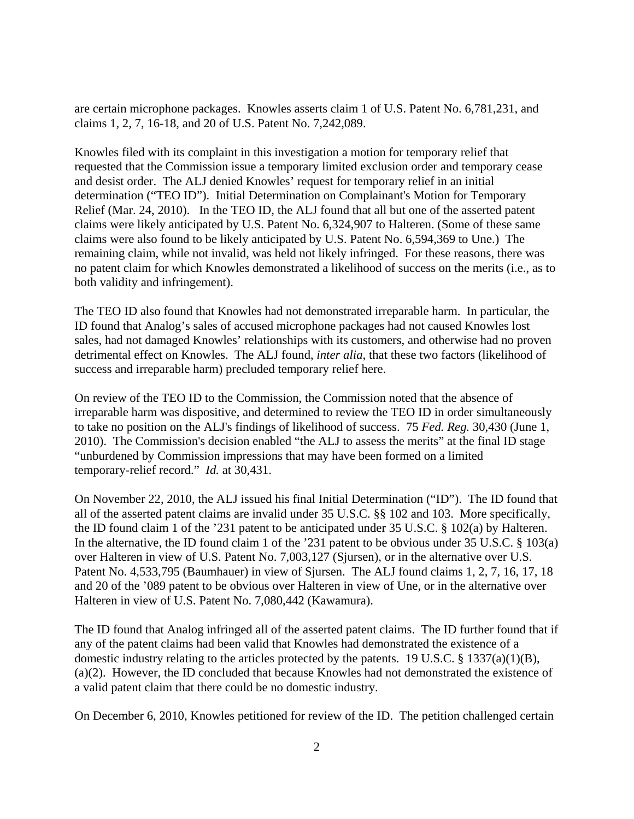are certain microphone packages. Knowles asserts claim 1 of U.S. Patent No. 6,781,231, and claims 1, 2, 7, 16-18, and 20 of U.S. Patent No. 7,242,089.

Knowles filed with its complaint in this investigation a motion for temporary relief that requested that the Commission issue a temporary limited exclusion order and temporary cease and desist order. The ALJ denied Knowles' request for temporary relief in an initial determination ("TEO ID"). Initial Determination on Complainant's Motion for Temporary Relief (Mar. 24, 2010). In the TEO ID, the ALJ found that all but one of the asserted patent claims were likely anticipated by U.S. Patent No. 6,324,907 to Halteren. (Some of these same claims were also found to be likely anticipated by U.S. Patent No. 6,594,369 to Une.) The remaining claim, while not invalid, was held not likely infringed. For these reasons, there was no patent claim for which Knowles demonstrated a likelihood of success on the merits (i.e., as to both validity and infringement).

The TEO ID also found that Knowles had not demonstrated irreparable harm. In particular, the ID found that Analog's sales of accused microphone packages had not caused Knowles lost sales, had not damaged Knowles' relationships with its customers, and otherwise had no proven detrimental effect on Knowles. The ALJ found, *inter alia*, that these two factors (likelihood of success and irreparable harm) precluded temporary relief here.

On review of the TEO ID to the Commission, the Commission noted that the absence of irreparable harm was dispositive, and determined to review the TEO ID in order simultaneously to take no position on the ALJ's findings of likelihood of success. 75 *Fed. Reg.* 30,430 (June 1, 2010). The Commission's decision enabled "the ALJ to assess the merits" at the final ID stage "unburdened by Commission impressions that may have been formed on a limited temporary-relief record." *Id.* at 30,431.

On November 22, 2010, the ALJ issued his final Initial Determination ("ID"). The ID found that all of the asserted patent claims are invalid under 35 U.S.C. §§ 102 and 103. More specifically, the ID found claim 1 of the '231 patent to be anticipated under 35 U.S.C. § 102(a) by Halteren. In the alternative, the ID found claim 1 of the '231 patent to be obvious under 35 U.S.C. § 103(a) over Halteren in view of U.S. Patent No. 7,003,127 (Sjursen), or in the alternative over U.S. Patent No. 4,533,795 (Baumhauer) in view of Sjursen. The ALJ found claims 1, 2, 7, 16, 17, 18 and 20 of the '089 patent to be obvious over Halteren in view of Une, or in the alternative over Halteren in view of U.S. Patent No. 7,080,442 (Kawamura).

The ID found that Analog infringed all of the asserted patent claims. The ID further found that if any of the patent claims had been valid that Knowles had demonstrated the existence of a domestic industry relating to the articles protected by the patents. 19 U.S.C. § 1337(a)(1)(B), (a)(2). However, the ID concluded that because Knowles had not demonstrated the existence of a valid patent claim that there could be no domestic industry.

On December 6, 2010, Knowles petitioned for review of the ID. The petition challenged certain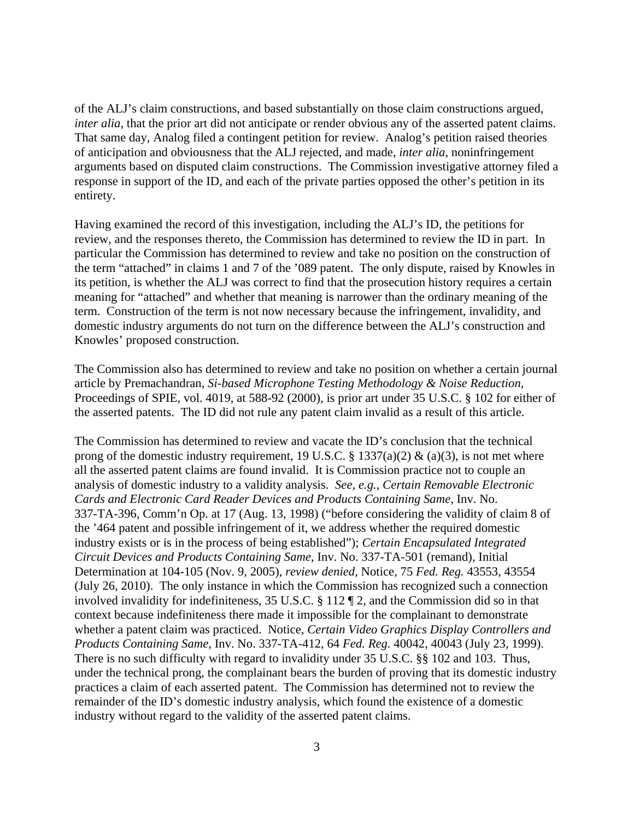of the ALJ's claim constructions, and based substantially on those claim constructions argued, *inter alia*, that the prior art did not anticipate or render obvious any of the asserted patent claims. That same day, Analog filed a contingent petition for review. Analog's petition raised theories of anticipation and obviousness that the ALJ rejected, and made, *inter alia*, noninfringement arguments based on disputed claim constructions. The Commission investigative attorney filed a response in support of the ID, and each of the private parties opposed the other's petition in its entirety.

Having examined the record of this investigation, including the ALJ's ID, the petitions for review, and the responses thereto, the Commission has determined to review the ID in part. In particular the Commission has determined to review and take no position on the construction of the term "attached" in claims 1 and 7 of the '089 patent. The only dispute, raised by Knowles in its petition, is whether the ALJ was correct to find that the prosecution history requires a certain meaning for "attached" and whether that meaning is narrower than the ordinary meaning of the term. Construction of the term is not now necessary because the infringement, invalidity, and domestic industry arguments do not turn on the difference between the ALJ's construction and Knowles' proposed construction.

The Commission also has determined to review and take no position on whether a certain journal article by Premachandran, *Si-based Microphone Testing Methodology & Noise Reduction*, Proceedings of SPIE, vol. 4019, at 588-92 (2000), is prior art under 35 U.S.C. § 102 for either of the asserted patents. The ID did not rule any patent claim invalid as a result of this article.

The Commission has determined to review and vacate the ID's conclusion that the technical prong of the domestic industry requirement, 19 U.S.C. § 1337(a)(2) & (a)(3), is not met where all the asserted patent claims are found invalid. It is Commission practice not to couple an analysis of domestic industry to a validity analysis. *See, e.g.*, *Certain Removable Electronic Cards and Electronic Card Reader Devices and Products Containing Same*, Inv. No. 337-TA-396, Comm'n Op. at 17 (Aug. 13, 1998) ("before considering the validity of claim 8 of the '464 patent and possible infringement of it, we address whether the required domestic industry exists or is in the process of being established"); *Certain Encapsulated Integrated Circuit Devices and Products Containing Same*, Inv. No. 337-TA-501 (remand), Initial Determination at 104-105 (Nov. 9, 2005), *review denied*, Notice, 75 *Fed. Reg.* 43553, 43554 (July 26, 2010). The only instance in which the Commission has recognized such a connection involved invalidity for indefiniteness, 35 U.S.C. § 112 ¶ 2, and the Commission did so in that context because indefiniteness there made it impossible for the complainant to demonstrate whether a patent claim was practiced. Notice, *Certain Video Graphics Display Controllers and Products Containing Same*, Inv. No. 337-TA-412, 64 *Fed. Reg.* 40042, 40043 (July 23, 1999). There is no such difficulty with regard to invalidity under 35 U.S.C. §§ 102 and 103. Thus, under the technical prong, the complainant bears the burden of proving that its domestic industry practices a claim of each asserted patent. The Commission has determined not to review the remainder of the ID's domestic industry analysis, which found the existence of a domestic industry without regard to the validity of the asserted patent claims.